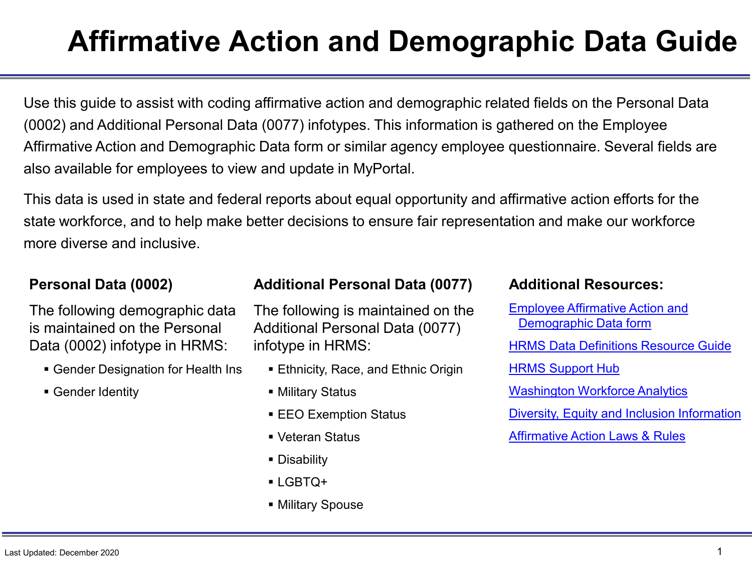### **Affirmative Action and Demographic Data Guide**

Use this guide to assist with coding affirmative action and demographic related fields on the Personal Data (0002) and Additional Personal Data (0077) infotypes. This information is gathered on the Employee Affirmative Action and Demographic Data form or similar agency employee questionnaire. Several fields are also available for employees to view and update in MyPortal.

This data is used in state and federal reports about equal opportunity and affirmative action efforts for the state workforce, and to help make better decisions to ensure fair representation and make our workforce more diverse and inclusive.

#### **Personal Data (0002)**

The following demographic data is maintained on the Personal Data (0002) infotype in HRMS:

- Gender Designation for Health Ins
- Gender Identity

#### **Additional Personal Data (0077)**

The following is maintained on the Additional Personal Data (0077) infotype in HRMS:

- Ethnicity, Race, and Ethnic Origin
- Military Status
- **EEO Exemption Status**
- Veteran Status
- Disability
- LGBTQ+
- Military Spouse

#### **Additional Resources:**

[Employee Affirmative Action and](https://ofm.wa.gov/sites/default/files/public/shr/Forms%20and%20Publications/DOP%20Forms/Employee%20Affirmative%20Action%20and%20Demographic%20Data%20Form.pdf)  Demographic Data form [HRMS Data Definitions Resource Guide](https://www.ofm.wa.gov/state-human-resources/workforce-data-planning/hrms-data-definitions/hrms-data-definitions-resource-guide) [HRMS Support Hub](https://support.hrms.wa.gov/) [Washington Workforce Analytics](https://watech.wa.gov/solutions/it-systems/washington-workforce-analytics) [Diversity, Equity and Inclusion Information](https://ofm.wa.gov/state-human-resources/workforce-diversity-equity-and-inclusion) [Affirmative Action Laws & Rules](https://ofm.wa.gov/state-human-resources/diversity/affirmative-action/aa-laws-and-rules)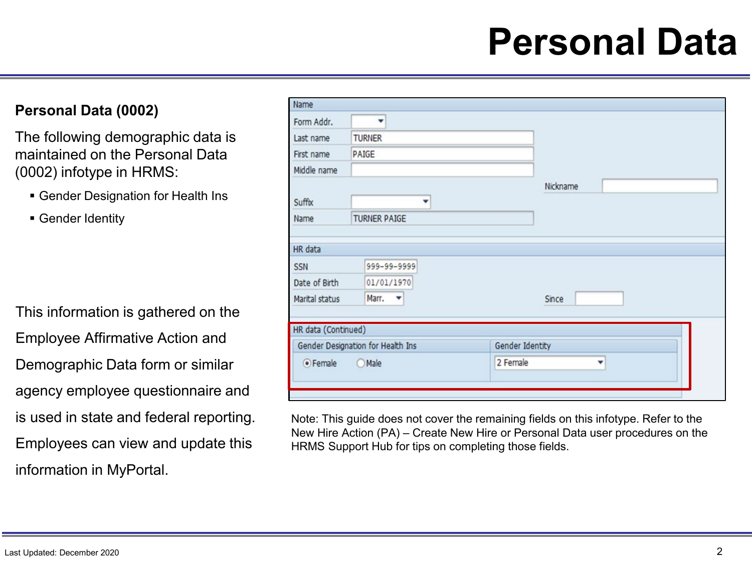### **Personal Data**

#### **Personal Data (0002)**

The following demographic data is maintained on the Personal Data (0002) infotype in HRMS:

- Gender Designation for Health Ins
- Gender Identity

This information is gathered on the Employee Affirmative Action and Demographic Data form or similar agency employee questionnaire and is used in state and federal reporting. Employees can view and update this information in MyPortal.

| Name                              |                     |                 |
|-----------------------------------|---------------------|-----------------|
| Form Addr.                        | ٠                   |                 |
| Last name                         | <b>TURNER</b>       |                 |
| First name                        | PAIGE               |                 |
| Middle name                       |                     |                 |
|                                   |                     | Nickname        |
| Suffix                            | ▼                   |                 |
| Name                              | <b>TURNER PAIGE</b> |                 |
|                                   |                     |                 |
| HR data                           |                     |                 |
| SSN                               | 999-99-9999         |                 |
| Date of Birth                     | 01/01/1970          |                 |
| Marital status                    | Marr.               | Since           |
|                                   |                     |                 |
| HR data (Continued)               |                     |                 |
| Gender Designation for Health Ins |                     | Gender Identity |
| ● Female<br><b>O</b> Male         |                     | 2 Female<br>÷   |
|                                   |                     |                 |
|                                   |                     |                 |

Note: This guide does not cover the remaining fields on this infotype. Refer to the New Hire Action (PA) – Create New Hire or Personal Data user procedures on the HRMS Support Hub for tips on completing those fields.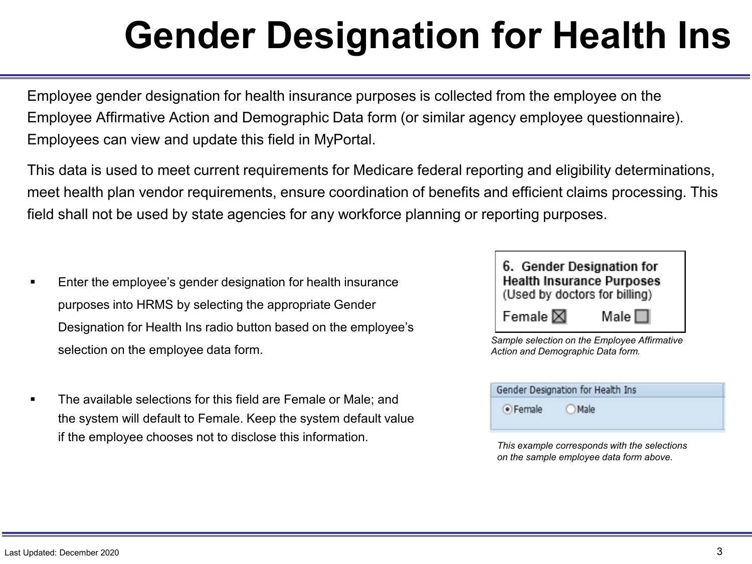## **Gender Designation for Health Ins**

Employee gender designation for health insurance purposes is collected from the employee on the Employee Affirmative Action and Demographic Data form (or similar agency employee questionnaire). Employees can view and update this field in MyPortal.

This data is used to meet current requirements for Medicare federal reporting and eligibility determinations, meet health plan vendor requirements, ensure coordination of benefits and efficient claims processing. This field shall not be used by state agencies for any workforce planning or reporting purposes.

- Enter the employee's gender designation for health insurance purposes into HRMS by selecting the appropriate Gender Designation for Health Ins radio button based on the employee's selection on the employee data form.
- The available selections for this field are Female or Male; and the system will default to Female. Keep the system default value if the employee chooses not to disclose this information.



*Sample selection on the Employee Affirmative Action and Demographic Data form.*

| Gender Designation for Health Ins |       |  |  |
|-----------------------------------|-------|--|--|
| · Female                          | OMale |  |  |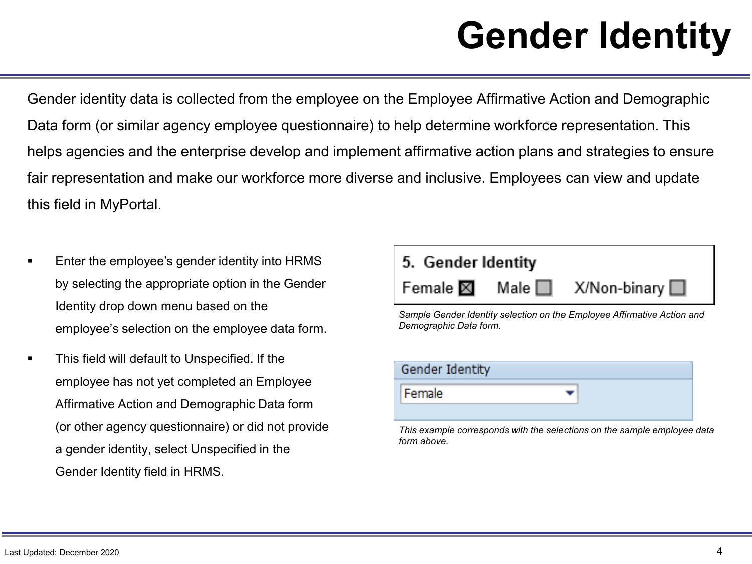## **Gender Identity**

Gender identity data is collected from the employee on the Employee Affirmative Action and Demographic Data form (or similar agency employee questionnaire) to help determine workforce representation. This helps agencies and the enterprise develop and implement affirmative action plans and strategies to ensure fair representation and make our workforce more diverse and inclusive. Employees can view and update this field in MyPortal.

- Enter the employee's gender identity into HRMS by selecting the appropriate option in the Gender Identity drop down menu based on the employee's selection on the employee data form.
- This field will default to Unspecified. If the employee has not yet completed an Employee Affirmative Action and Demographic Data form (or other agency questionnaire) or did not provide a gender identity, select Unspecified in the Gender Identity field in HRMS.



| Gender Identity |  |
|-----------------|--|
| Female          |  |
|                 |  |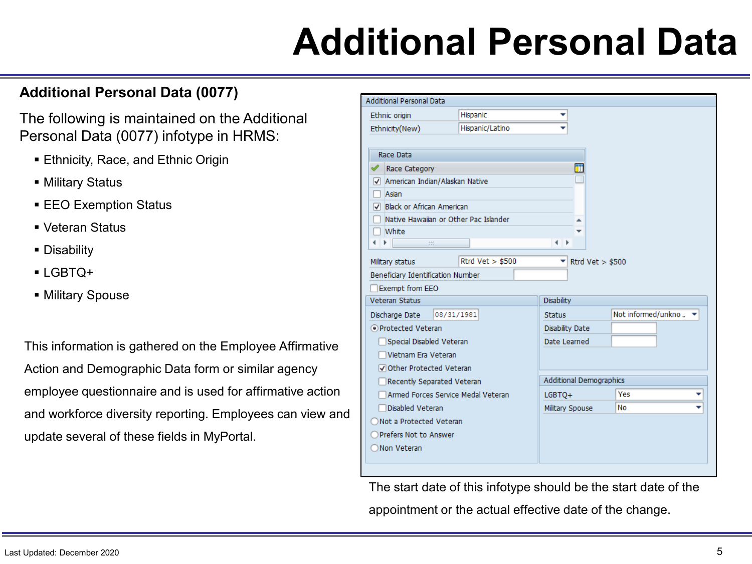### **Additional Personal Data**

#### **Additional Personal Data (0077)**

The following is maintained on the Additional Personal Data (0077) infotype in HRMS:

- **Ethnicity, Race, and Ethnic Origin**
- Military Status
- **EEO Exemption Status**
- Veteran Status
- **Disability**
- LGBTQ+
- Military Spouse

This information is gathered on the Employee Affirmative Action and Demographic Data form or similar agency employee questionnaire and is used for affirmative action and workforce diversity reporting. Employees can view and update several of these fields in MyPortal.

| <b>Additional Personal Data</b>       |                    |                                        |                      |
|---------------------------------------|--------------------|----------------------------------------|----------------------|
| Ethnic origin                         | Hispanic           | ▼                                      |                      |
| Ethnicity(New)                        | Hispanic/Latino    |                                        |                      |
|                                       |                    |                                        |                      |
| Race Data                             |                    |                                        |                      |
| Race Category                         |                    | M                                      |                      |
| American Indian/Alaskan Native        |                    |                                        |                      |
| Asian                                 |                    |                                        |                      |
| Black or African American             |                    |                                        |                      |
| Native Hawaiian or Other Pac Islander |                    |                                        |                      |
| White                                 |                    |                                        |                      |
| $\sim 10^{11}$                        |                    |                                        |                      |
| Military status                       | Rtrd $Vert > $500$ | $\blacktriangleright$ Rtrd Vet > \$500 |                      |
| Beneficiary Identification Number     |                    |                                        |                      |
| Exempt from EEO                       |                    |                                        |                      |
| <b>Veteran Status</b>                 |                    | <b>Disability</b>                      |                      |
| Discharge Date<br>08/31/1981          |                    | <b>Status</b>                          | Not informed/unkno ▼ |
| O Protected Veteran                   |                    | Disability Date                        |                      |
| Special Disabled Veteran              |                    | Date Learned                           |                      |
| Vietnam Era Veteran                   |                    |                                        |                      |
| Other Protected Veteran               |                    |                                        |                      |
| Recently Separated Veteran            |                    | <b>Additional Demographics</b>         |                      |
| Armed Forces Service Medal Veteran    |                    | $LGBTO+$                               | Yes                  |
| Disabled Veteran                      |                    | Military Spouse                        | <b>No</b>            |
| ◯ Not a Protected Veteran             |                    |                                        |                      |
| Prefers Not to Answer                 |                    |                                        |                      |
| ◯ Non Veteran                         |                    |                                        |                      |
|                                       |                    |                                        |                      |

The start date of this infotype should be the start date of the

appointment or the actual effective date of the change.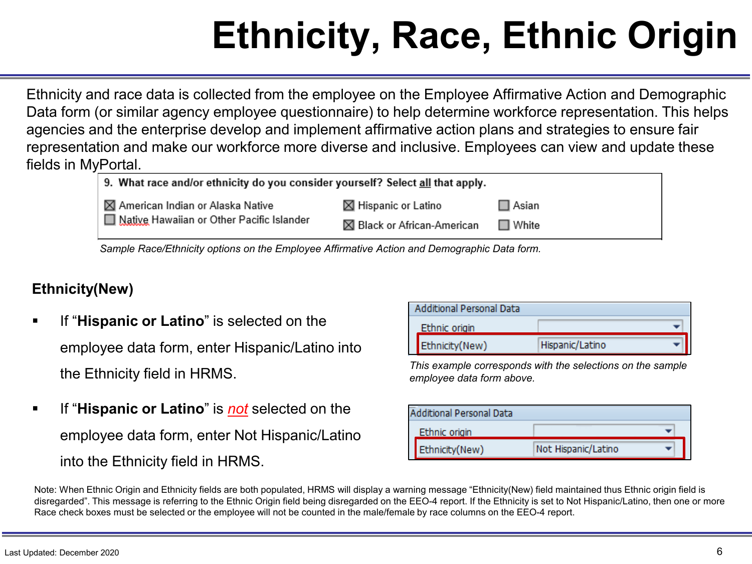## **Ethnicity, Race, Ethnic Origin**

Ethnicity and race data is collected from the employee on the Employee Affirmative Action and Demographic Data form (or similar agency employee questionnaire) to help determine workforce representation. This helps agencies and the enterprise develop and implement affirmative action plans and strategies to ensure fair representation and make our workforce more diverse and inclusive. Employees can view and update these fields in MyPortal.

| 9. What race and/or ethnicity do you consider yourself? Select all that apply. |                             |                 |  |  |
|--------------------------------------------------------------------------------|-----------------------------|-----------------|--|--|
| ■ ⊠ American Indian or Alaska Native                                           | <b>⊠ Hispanic or Latino</b> | $\Box$ Asian    |  |  |
| Ⅰ I Native Hawaiian or Other Pacific Islander                                  | ⊠ Black or African-American | $\square$ White |  |  |
|                                                                                |                             |                 |  |  |

*Sample Race/Ethnicity options on the Employee Affirmative Action and Demographic Data form.*

#### **Ethnicity(New)**

- **If "Hispanic or Latino"** is selected on the employee data form, enter Hispanic/Latino into the Ethnicity field in HRMS.
- If "**Hispanic or Latino**" is *not* selected on the employee data form, enter Not Hispanic/Latino into the Ethnicity field in HRMS.

|               | Additional Personal Data |                 |  |
|---------------|--------------------------|-----------------|--|
| Ethnic origin |                          |                 |  |
|               | Ethnicity(New)           | Hispanic/Latino |  |

*This example corresponds with the selections on the sample employee data form above.*

|               | <b>Additional Personal Data</b> |                     |  |  |
|---------------|---------------------------------|---------------------|--|--|
| Ethnic origin |                                 |                     |  |  |
|               | Ethnicity(New)                  | Not Hispanic/Latino |  |  |

Note: When Ethnic Origin and Ethnicity fields are both populated, HRMS will display a warning message "Ethnicity(New) field maintained thus Ethnic origin field is disregarded". This message is referring to the Ethnic Origin field being disregarded on the EEO-4 report. If the Ethnicity is set to Not Hispanic/Latino, then one or more Race check boxes must be selected or the employee will not be counted in the male/female by race columns on the EEO-4 report.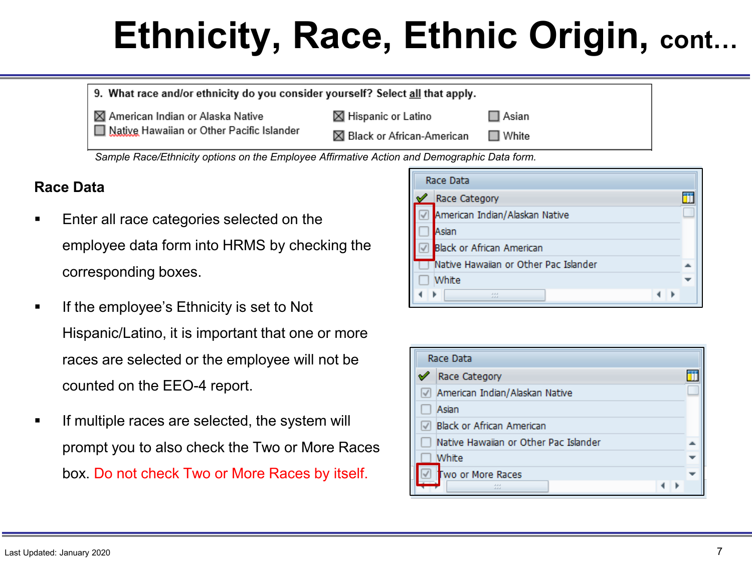## **Ethnicity, Race, Ethnic Origin, cont…**

| 9. What race and/or ethnicity do you consider yourself? Select all that apply. |                                |                 |  |
|--------------------------------------------------------------------------------|--------------------------------|-----------------|--|
| ⊠ American Indian or Alaska Native                                             | $\boxtimes$ Hispanic or Latino | $\square$ Asian |  |
| Native Hawaiian or Other Pacific Islander                                      | ⊠ Black or African-American    | $\Box$ White    |  |

*Sample Race/Ethnicity options on the Employee Affirmative Action and Demographic Data form.*

#### **Race Data**

- Enter all race categories selected on the employee data form into HRMS by checking the corresponding boxes.
- If the employee's Ethnicity is set to Not Hispanic/Latino, it is important that one or more races are selected or the employee will not be counted on the EEO-4 report.
- If multiple races are selected, the system will prompt you to also check the Two or More Races box. Do not check Two or More Races by itself.

|   | Race Data                             |  |  |  |
|---|---------------------------------------|--|--|--|
| ✔ | Race Category                         |  |  |  |
|   | American Indian/Alaskan Native        |  |  |  |
|   | Asian                                 |  |  |  |
|   | <b>Black or African American</b>      |  |  |  |
|   | Native Hawaiian or Other Pac Islander |  |  |  |
|   | White                                 |  |  |  |
|   | 222                                   |  |  |  |

| Race Data                             |  |  |  |
|---------------------------------------|--|--|--|
| Race Category                         |  |  |  |
| American Indian/Alaskan Native        |  |  |  |
| Asian                                 |  |  |  |
| <b>Black or African American</b>      |  |  |  |
| Native Hawaiian or Other Pac Islander |  |  |  |
| White                                 |  |  |  |
| Two or More Races                     |  |  |  |
|                                       |  |  |  |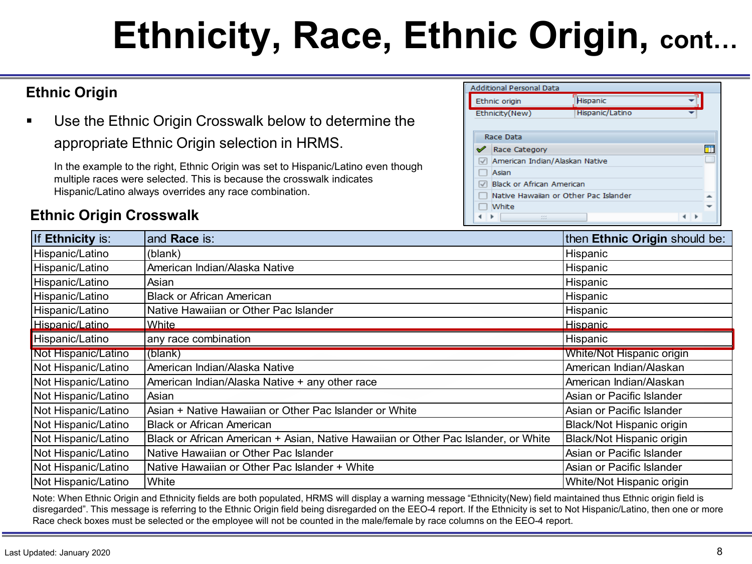## **Ethnicity, Race, Ethnic Origin, cont…**

#### **Ethnic Origin**

 Use the Ethnic Origin Crosswalk below to determine the appropriate Ethnic Origin selection in HRMS.

In the example to the right, Ethnic Origin was set to Hispanic/Latino even though multiple races were selected. This is because the crosswalk indicates Hispanic/Latino always overrides any race combination.

#### **Ethnic Origin Crosswalk**

|                                       | <b>Additional Personal Data</b>  |                 |  |  |
|---------------------------------------|----------------------------------|-----------------|--|--|
|                                       | Hispanic<br>Ethnic origin        |                 |  |  |
| Ethnicity(New)                        |                                  | Hispanic/Latino |  |  |
|                                       |                                  |                 |  |  |
| Race Data                             |                                  |                 |  |  |
| ✔                                     | <b>Race Category</b>             |                 |  |  |
|                                       | American Indian/Alaskan Native   |                 |  |  |
|                                       | Asian                            |                 |  |  |
|                                       | <b>Black or African American</b> |                 |  |  |
| Native Hawaiian or Other Pac Islander |                                  |                 |  |  |
| White                                 |                                  |                 |  |  |
|                                       | 3,33                             |                 |  |  |

| If Ethnicity is:    | and Race is:                                                                       | then Ethnic Origin should be: |
|---------------------|------------------------------------------------------------------------------------|-------------------------------|
| Hispanic/Latino     | (blank)                                                                            | Hispanic                      |
| Hispanic/Latino     | American Indian/Alaska Native                                                      | Hispanic                      |
| Hispanic/Latino     | Asian                                                                              | Hispanic                      |
| Hispanic/Latino     | <b>Black or African American</b>                                                   | Hispanic                      |
| Hispanic/Latino     | Native Hawaiian or Other Pac Islander                                              | Hispanic                      |
| Hispanic/Latino     | White                                                                              | Hispanic                      |
| Hispanic/Latino     | any race combination                                                               | Hispanic                      |
| Not Hispanic/Latino | (blank)                                                                            | White/Not Hispanic origin     |
| Not Hispanic/Latino | American Indian/Alaska Native                                                      | American Indian/Alaskan       |
| Not Hispanic/Latino | American Indian/Alaska Native + any other race                                     | American Indian/Alaskan       |
| Not Hispanic/Latino | Asian                                                                              | Asian or Pacific Islander     |
| Not Hispanic/Latino | Asian + Native Hawaiian or Other Pac Islander or White                             | Asian or Pacific Islander     |
| Not Hispanic/Latino | <b>Black or African American</b>                                                   | Black/Not Hispanic origin     |
| Not Hispanic/Latino | Black or African American + Asian, Native Hawaiian or Other Pac Islander, or White | Black/Not Hispanic origin     |
| Not Hispanic/Latino | Native Hawaiian or Other Pac Islander                                              | Asian or Pacific Islander     |
| Not Hispanic/Latino | Native Hawaiian or Other Pac Islander + White                                      | Asian or Pacific Islander     |
| Not Hispanic/Latino | White                                                                              | White/Not Hispanic origin     |

Note: When Ethnic Origin and Ethnicity fields are both populated, HRMS will display a warning message "Ethnicity(New) field maintained thus Ethnic origin field is disregarded". This message is referring to the Ethnic Origin field being disregarded on the EEO-4 report. If the Ethnicity is set to Not Hispanic/Latino, then one or more Race check boxes must be selected or the employee will not be counted in the male/female by race columns on the EEO-4 report.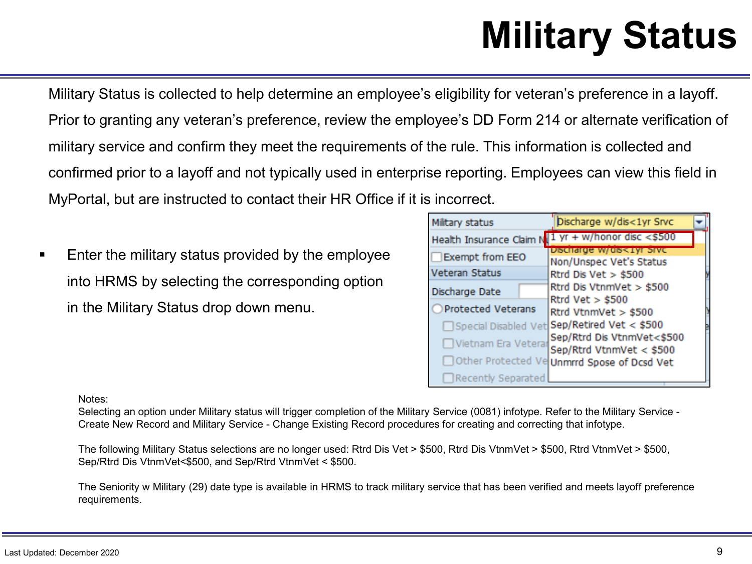## **Military Status**

Military Status is collected to help determine an employee's eligibility for veteran's preference in a layoff. Prior to granting any veteran's preference, review the employee's DD Form 214 or alternate verification of military service and confirm they meet the requirements of the rule. This information is collected and confirmed prior to a layoff and not typically used in enterprise reporting. Employees can view this field in MyPortal, but are instructed to contact their HR Office if it is incorrect.

 Enter the military status provided by the employee into HRMS by selecting the corresponding option in the Military Status drop down menu.

| Military status      | Discharge w/dis<1yr Srvc                               |
|----------------------|--------------------------------------------------------|
|                      | Health Insurance Claim N $1$ yr + w/honor disc <\$500  |
| Exempt from EEO      | Discharge w/dis<1yr Sive<br>Non/Unspec Vet's Status    |
| Veteran Status       | Rtrd Dis Vet $>$ \$500                                 |
| Discharge Date       | Rtrd Dis VtnmVet > \$500                               |
| ○ Protected Veterans | Rtrd $Vert > $500$<br>Rtrd VtnmVet > \$500             |
|                      | □ Special Disabled Vet Sep/Retired Vet < \$500         |
| Vietnam Era Veterar  | Sep/Rtrd Dis VtnmVet<\$500<br>Sep/Rtrd VtnmVet < \$500 |
|                      | Other Protected Ve Unmrrd Spose of Dcsd Vet            |
| □Recently Separated  |                                                        |

Notes:

Selecting an option under Military status will trigger completion of the Military Service (0081) infotype. Refer to the Military Service - Create New Record and Military Service - Change Existing Record procedures for creating and correcting that infotype.

The following Military Status selections are no longer used: Rtrd Dis Vet > \$500, Rtrd Dis VtnmVet > \$500, Rtrd VtnmVet > \$500, Sep/Rtrd Dis VtnmVet<\$500, and Sep/Rtrd VtnmVet < \$500.

The Seniority w Military (29) date type is available in HRMS to track military service that has been verified and meets layoff preference requirements.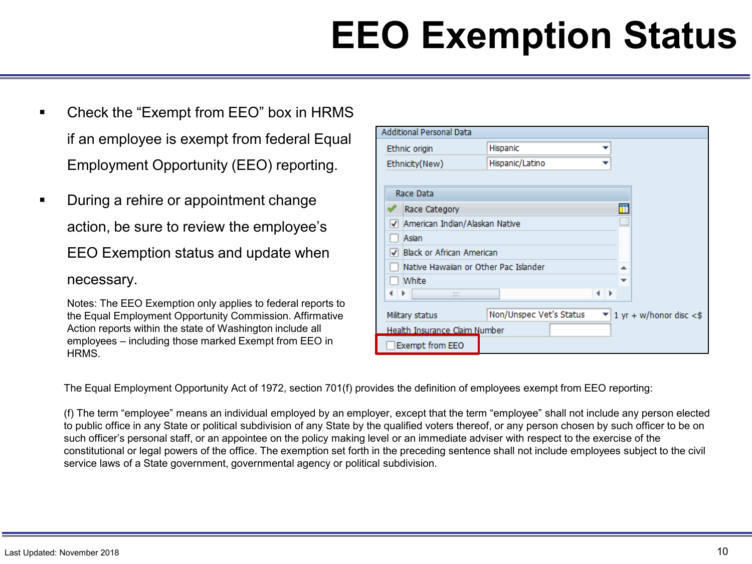## **EEO Exemption Status**

- Check the "Exempt from EEO" box in HRMS if an employee is exempt from federal Equal Employment Opportunity (EEO) reporting.
- During a rehire or appointment change action, be sure to review the employee's EEO Exemption status and update when

#### necessary.

Notes: The EEO Exemption only applies to federal reports to the Equal Employment Opportunity Commission. Affirmative Action reports within the state of Washington include all employees – including those marked Exempt from EEO in HRMS.

| <b>Additional Personal Data</b>       |                                       |   |                            |
|---------------------------------------|---------------------------------------|---|----------------------------|
| Ethnic origin                         | Hispanic                              |   |                            |
| Ethnicity(New)                        | Hispanic/Latino                       |   |                            |
|                                       |                                       |   |                            |
| Race Data                             |                                       |   |                            |
| Race Category                         |                                       |   | m                          |
| American Indian/Alaskan Native<br>↵   |                                       |   |                            |
| Asian                                 |                                       |   |                            |
| <b>Black or African American</b><br>√ |                                       |   |                            |
|                                       | Native Hawaiian or Other Pac Islander |   |                            |
| White                                 |                                       |   |                            |
| a a a                                 |                                       | ۰ |                            |
| Military status                       | Non/Unspec Vet's Status               |   | 1 yr + w/honor disc $<$ \$ |
| Health Insurance Claim Number         |                                       |   |                            |
| Exempt from EEO                       |                                       |   |                            |

The Equal Employment Opportunity Act of 1972, section 701(f) provides the definition of employees exempt from EEO reporting:

(f) The term "employee" means an individual employed by an employer, except that the term "employee" shall not include any person elected to public office in any State or political subdivision of any State by the qualified voters thereof, or any person chosen by such officer to be on such officer's personal staff, or an appointee on the policy making level or an immediate adviser with respect to the exercise of the constitutional or legal powers of the office. The exemption set forth in the preceding sentence shall not include employees subject to the civil service laws of a State government, governmental agency or political subdivision.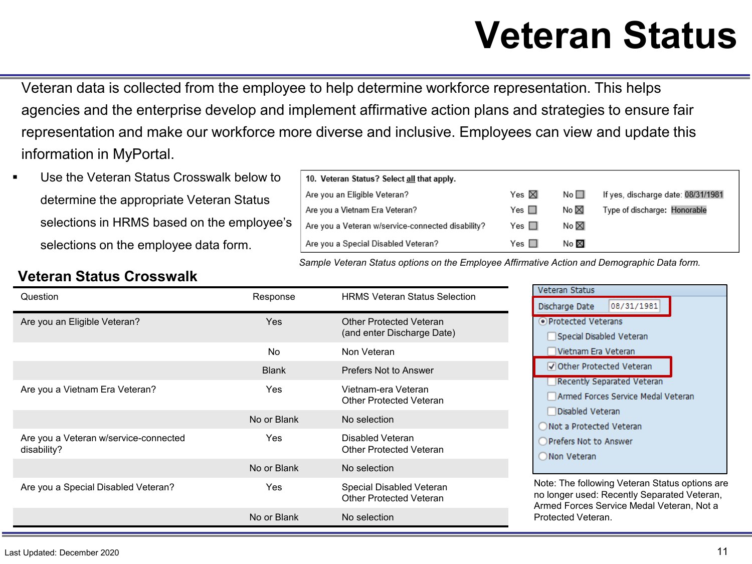### **Veteran Status**

Veteran data is collected from the employee to help determine workforce representation. This helps agencies and the enterprise develop and implement affirmative action plans and strategies to ensure fair representation and make our workforce more diverse and inclusive. Employees can view and update this information in MyPortal.

 Use the Veteran Status Crosswalk below to determine the appropriate Veteran Status selections in HRMS based on the employee's selections on the employee data form.

| 10. Veteran Status? Select all that apply.        |                 |           |                                    |
|---------------------------------------------------|-----------------|-----------|------------------------------------|
| Are you an Eligible Veteran?                      | Yes $\boxtimes$ | No $\Box$ | If yes, discharge date: 08/31/1981 |
| Are you a Vietnam Era Veteran?                    | Yes $\Box$      | No ⊠      | Type of discharge: Honorable       |
| Are you a Veteran w/service-connected disability? | Yes $\Box$      | No ⊠      |                                    |
| Are you a Special Disabled Veteran?               | Yes $\Box$      | No ⊠      |                                    |

*Sample Veteran Status options on the Employee Affirmative Action and Demographic Data form.*

#### **Veteran Status Crosswalk**

| Question                                             | Response     | <b>HRMS Veteran Status Selection</b>                         | Veteran Status                                                              |
|------------------------------------------------------|--------------|--------------------------------------------------------------|-----------------------------------------------------------------------------|
|                                                      |              |                                                              | 08,<br>Discharge Date                                                       |
| Are you an Eligible Veteran?                         | Yes          | <b>Other Protected Veteran</b><br>(and enter Discharge Date) | ● Protected Veterans<br>Special Disabled \                                  |
|                                                      | <b>No</b>    | Non Veteran                                                  | Vietnam Era Vete                                                            |
|                                                      | <b>Blank</b> | Prefers Not to Answer                                        | Other Protected                                                             |
| Are you a Vietnam Era Veteran?                       | Yes          | Vietnam-era Veteran<br><b>Other Protected Veteran</b>        | Recently Separat<br>Armed Forces Set                                        |
|                                                      | No or Blank  | No selection                                                 | Disabled Veteran<br>◯ Not a Protected Ve                                    |
| Are you a Veteran w/service-connected<br>disability? | Yes          | Disabled Veteran<br><b>Other Protected Veteran</b>           | ○ Prefers Not to Ansv<br>O Non Veteran                                      |
|                                                      | No or Blank  | No selection                                                 |                                                                             |
| Are you a Special Disabled Veteran?                  | Yes          | Special Disabled Veteran<br>Other Protected Veteran          | Note: The following V<br>no longer used: Rece<br><b>Armed Forces Servic</b> |
|                                                      | No or Blank  | No selection                                                 | Protected Veteran.                                                          |



'eteran Status options are ntly Separated Veteran, e Medal Veteran, Not a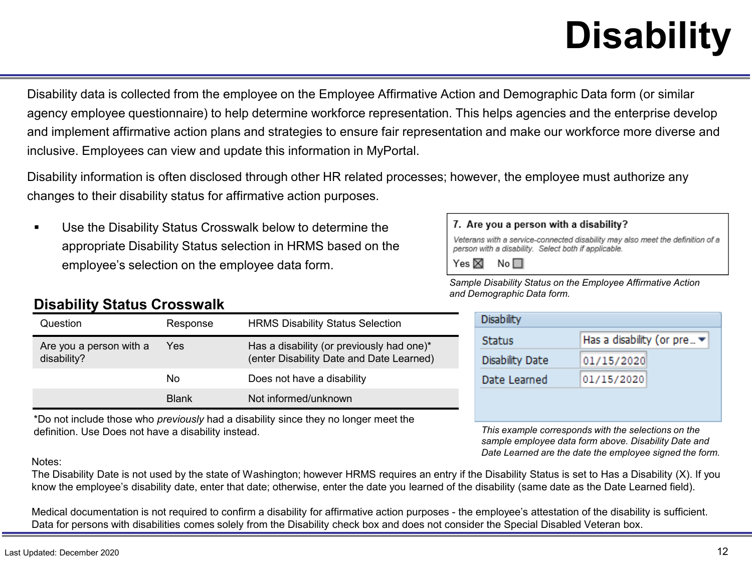# **Disability**

Disability data is collected from the employee on the Employee Affirmative Action and Demographic Data form (or similar agency employee questionnaire) to help determine workforce representation. This helps agencies and the enterprise develop and implement affirmative action plans and strategies to ensure fair representation and make our workforce more diverse and inclusive. Employees can view and update this information in MyPortal.

Disability information is often disclosed through other HR related processes; however, the employee must authorize any changes to their disability status for affirmative action purposes.

 Use the Disability Status Crosswalk below to determine the appropriate Disability Status selection in HRMS based on the employee's selection on the employee data form.

#### **Disability Status Crosswalk**

| Question                               | Response     | <b>HRMS Disability Status Selection</b>                                               |
|----------------------------------------|--------------|---------------------------------------------------------------------------------------|
| Are you a person with a<br>disability? | Yes.         | Has a disability (or previously had one)*<br>(enter Disability Date and Date Learned) |
|                                        | Nο           | Does not have a disability                                                            |
|                                        | <b>Blank</b> | Not informed/unknown                                                                  |

\*Do not include those who *previously* had a disability since they no longer meet the definition. Use Does not have a disability instead.

#### Notes:

The Disability Date is not used by the state of Washington; however HRMS requires an entry if the Disability Status is set to Has a Disability (X). If you know the employee's disability date, enter that date; otherwise, enter the date you learned of the disability (same date as the Date Learned field).

Medical documentation is not required to confirm a disability for affirmative action purposes - the employee's attestation of the disability is sufficient. Data for persons with disabilities comes solely from the Disability check box and does not consider the Special Disabled Veteran box.

#### 7. Are you a person with a disability?

Veterans with a service-connected disability may also meet the definition of a person with a disability. Select both if applicable.

Yes  $\boxtimes$  No  $\Box$ 

*Sample Disability Status on the Employee Affirmative Action and Demographic Data form.*

| <b>Disability</b> |                            |  |
|-------------------|----------------------------|--|
| Status            | Has a disability (or pre ▼ |  |
| Disability Date   | 01/15/2020                 |  |
| Date Learned      | 01/15/2020                 |  |

*This example corresponds with the selections on the sample employee data form above. Disability Date and Date Learned are the date the employee signed the form.*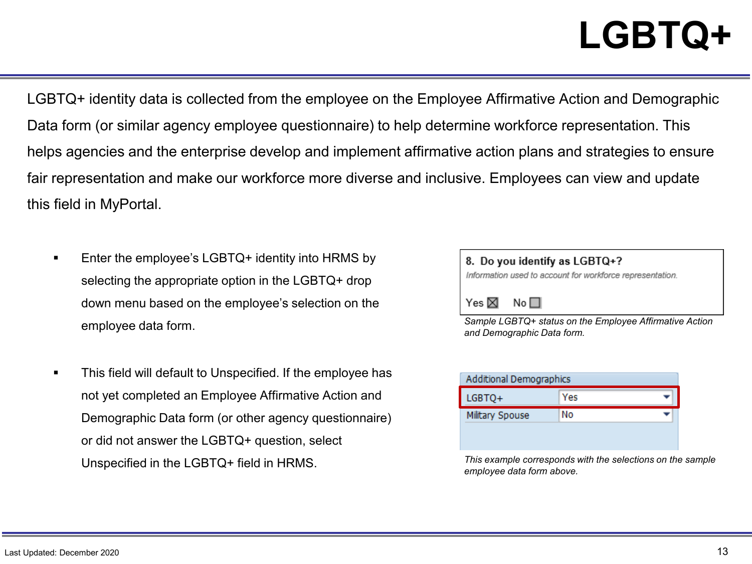### **LGBTQ+**

LGBTQ+ identity data is collected from the employee on the Employee Affirmative Action and Demographic Data form (or similar agency employee questionnaire) to help determine workforce representation. This helps agencies and the enterprise develop and implement affirmative action plans and strategies to ensure fair representation and make our workforce more diverse and inclusive. Employees can view and update this field in MyPortal.

- Enter the employee's LGBTQ+ identity into HRMS by selecting the appropriate option in the LGBTQ+ drop down menu based on the employee's selection on the employee data form.
- This field will default to Unspecified. If the employee has not yet completed an Employee Affirmative Action and Demographic Data form (or other agency questionnaire) or did not answer the LGBTQ+ question, select Unspecified in the LGBTQ+ field in HRMS.

| 8. Do you identify as LGBTQ+?<br>Information used to account for workforce representation. |  |  |
|--------------------------------------------------------------------------------------------|--|--|
| $Yes \boxtimes No \square$                                                                 |  |  |
| Sample LGBTQ+ status on the Employee Affirmative Action<br>and Demographic Data form.      |  |  |

| <b>Additional Demographics</b> |  |  |
|--------------------------------|--|--|
| Yes                            |  |  |
| No                             |  |  |
|                                |  |  |
|                                |  |  |